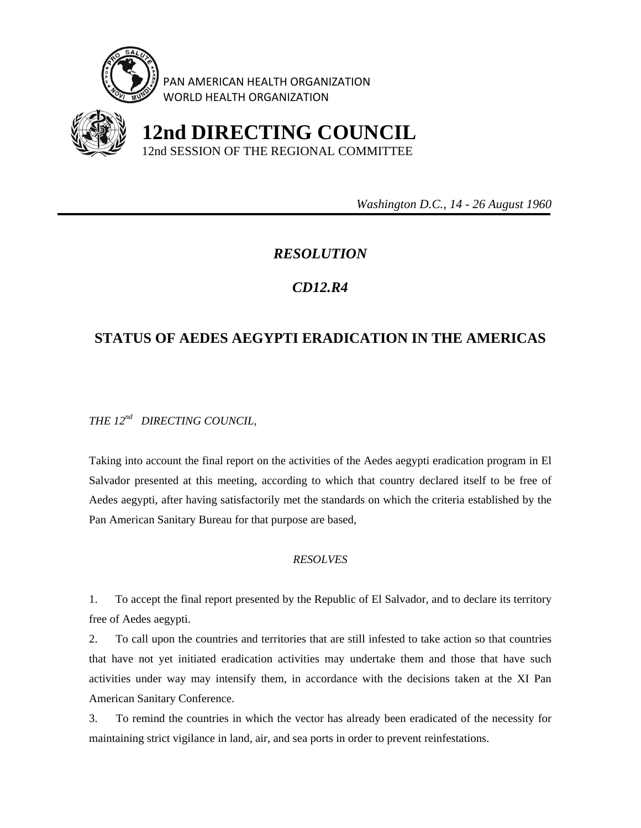

PAN AMERICAN HEALTH ORGANIZATION WORLD HEALTH ORGANIZATION



 **12nd DIRECTING COUNCIL** 12nd SESSION OF THE REGIONAL COMMITTEE

 *Washington D.C., 14 - 26 August 1960* 

## *RESOLUTION*

## *CD12.R4*

## **STATUS OF AEDES AEGYPTI ERADICATION IN THE AMERICAS**

*THE 12nd DIRECTING COUNCIL,* 

Taking into account the final report on the activities of the Aedes aegypti eradication program in El Salvador presented at this meeting, according to which that country declared itself to be free of Aedes aegypti, after having satisfactorily met the standards on which the criteria established by the Pan American Sanitary Bureau for that purpose are based,

## *RESOLVES*

1. To accept the final report presented by the Republic of El Salvador, and to declare its territory free of Aedes aegypti.

2. To call upon the countries and territories that are still infested to take action so that countries that have not yet initiated eradication activities may undertake them and those that have such activities under way may intensify them, in accordance with the decisions taken at the XI Pan American Sanitary Conference.

3. To remind the countries in which the vector has already been eradicated of the necessity for maintaining strict vigilance in land, air, and sea ports in order to prevent reinfestations.